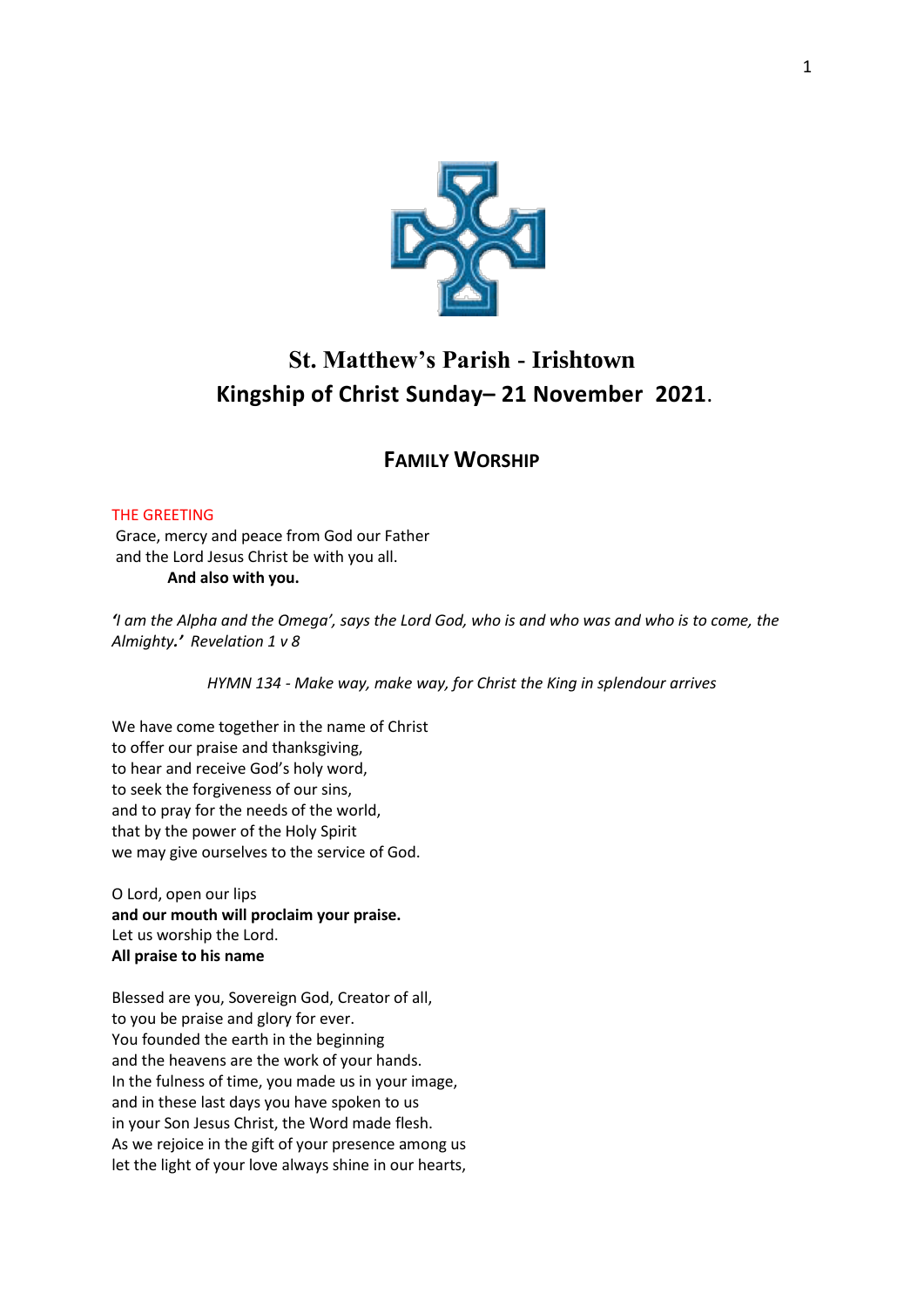

# **St. Matthew's Parish - Irishtown Kingship of Christ Sunday– 21 November 2021**.

# **FAMILY WORSHIP**

# THE GREETING

Grace, mercy and peace from God our Father and the Lord Jesus Christ be with you all. **And also with you.** 

*'I am the Alpha and the Omega', says the Lord God, who is and who was and who is to come, the Almighty.' Revelation 1 v 8*

*HYMN 134 - Make way, make way, for Christ the King in splendour arrives* 

We have come together in the name of Christ to offer our praise and thanksgiving, to hear and receive God's holy word, to seek the forgiveness of our sins, and to pray for the needs of the world, that by the power of the Holy Spirit we may give ourselves to the service of God.

O Lord, open our lips **and our mouth will proclaim your praise.** Let us worship the Lord. **All praise to his name**

Blessed are you, Sovereign God, Creator of all, to you be praise and glory for ever. You founded the earth in the beginning and the heavens are the work of your hands. In the fulness of time, you made us in your image, and in these last days you have spoken to us in your Son Jesus Christ, the Word made flesh. As we rejoice in the gift of your presence among us let the light of your love always shine in our hearts,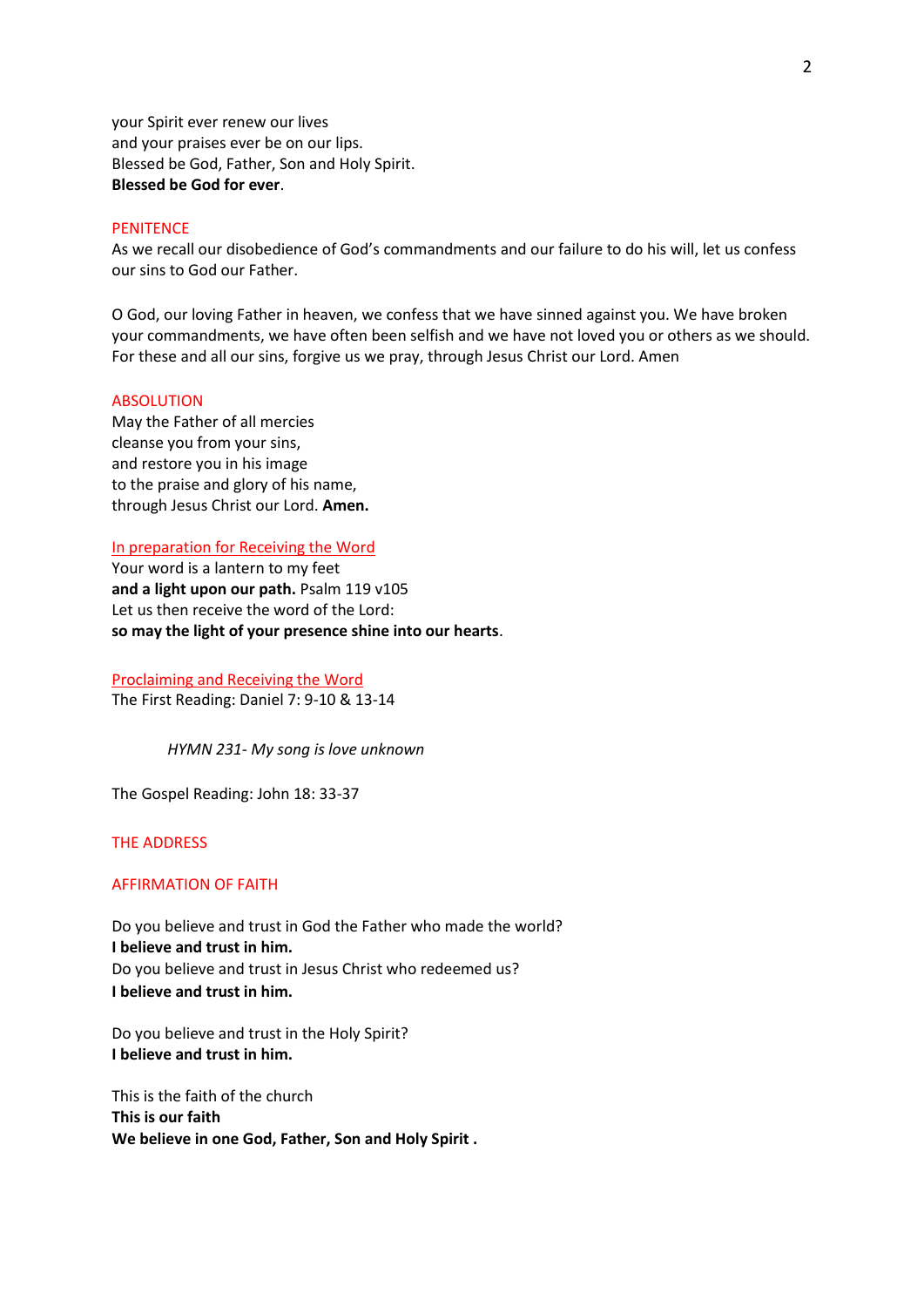your Spirit ever renew our lives and your praises ever be on our lips. Blessed be God, Father, Son and Holy Spirit. **Blessed be God for ever**.

### **PENITENCE**

As we recall our disobedience of God's commandments and our failure to do his will, let us confess our sins to God our Father.

O God, our loving Father in heaven, we confess that we have sinned against you. We have broken your commandments, we have often been selfish and we have not loved you or others as we should. For these and all our sins, forgive us we pray, through Jesus Christ our Lord. Amen

#### ABSOLUTION

May the Father of all mercies cleanse you from your sins, and restore you in his image to the praise and glory of his name, through Jesus Christ our Lord. **Amen.**

#### In preparation for Receiving the Word

Your word is a lantern to my feet **and a light upon our path.** Psalm 119 v105 Let us then receive the word of the Lord: **so may the light of your presence shine into our hearts**.

Proclaiming and Receiving the Word The First Reading: Daniel 7: 9-10 & 13-14

*HYMN 231- My song is love unknown*

The Gospel Reading: John 18: 33-37

## THE ADDRESS

#### AFFIRMATION OF FAITH

Do you believe and trust in God the Father who made the world? **I believe and trust in him.** Do you believe and trust in Jesus Christ who redeemed us? **I believe and trust in him.**

Do you believe and trust in the Holy Spirit? **I believe and trust in him.**

This is the faith of the church **This is our faith We believe in one God, Father, Son and Holy Spirit .**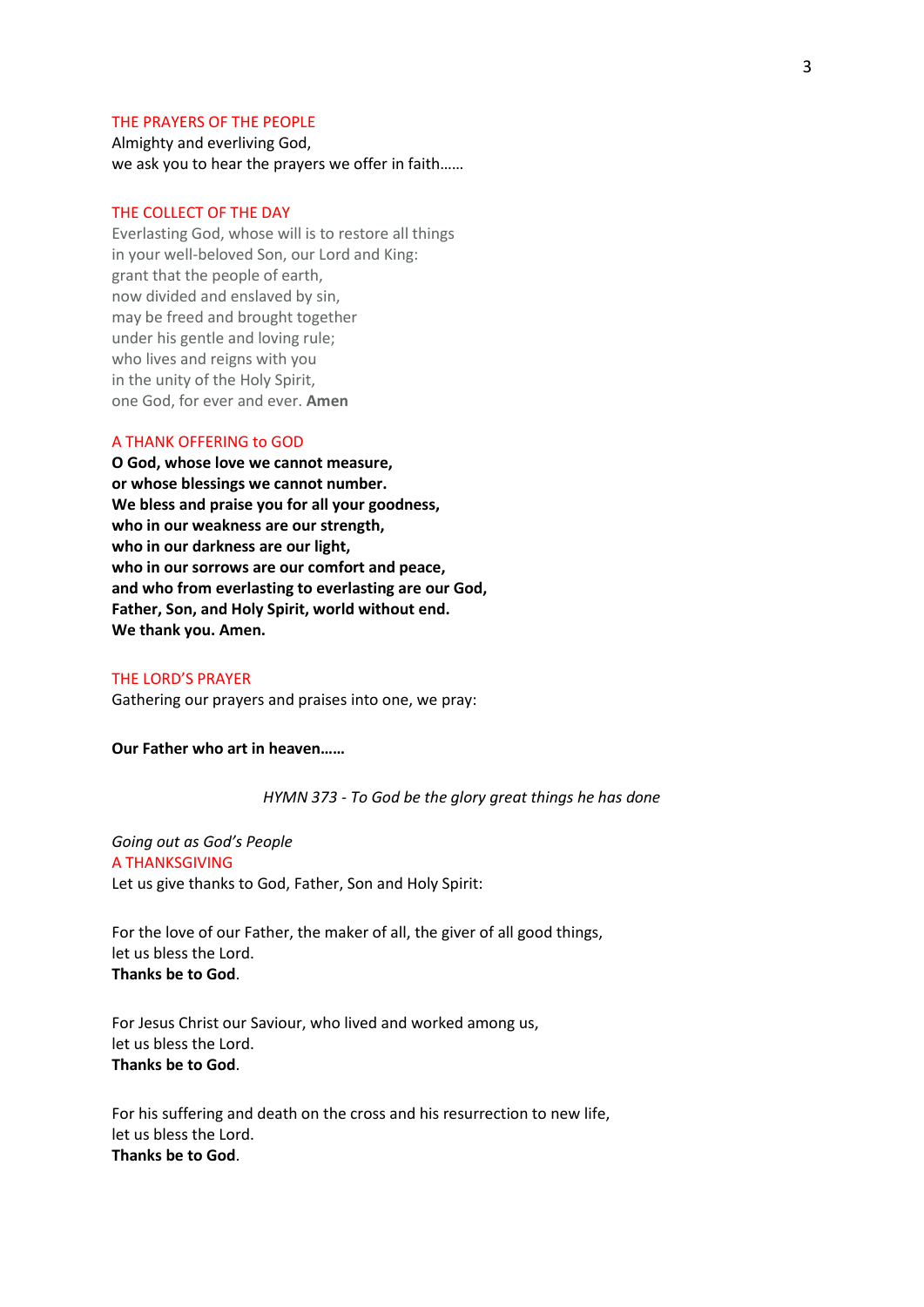#### THE PRAYERS OF THE PEOPLE

Almighty and everliving God, we ask you to hear the prayers we offer in faith……

#### THE COLLECT OF THE DAY

Everlasting God, whose will is to restore all things in your well-beloved Son, our Lord and King: grant that the people of earth, now divided and enslaved by sin, may be freed and brought together under his gentle and loving rule; who lives and reigns with you in the unity of the Holy Spirit, one God, for ever and ever. **Amen**

#### A THANK OFFERING to GOD

**O God, whose love we cannot measure, or whose blessings we cannot number. We bless and praise you for all your goodness, who in our weakness are our strength, who in our darkness are our light, who in our sorrows are our comfort and peace, and who from everlasting to everlasting are our God, Father, Son, and Holy Spirit, world without end. We thank you. Amen.**

#### THE LORD'S PRAYER

Gathering our prayers and praises into one, we pray:

**Our Father who art in heaven……**

#### *HYMN 373 - To God be the glory great things he has done*

*Going out as God's People* A THANKSGIVING Let us give thanks to God, Father, Son and Holy Spirit:

For the love of our Father, the maker of all, the giver of all good things, let us bless the Lord. **Thanks be to God**.

For Jesus Christ our Saviour, who lived and worked among us, let us bless the Lord. **Thanks be to God**.

For his suffering and death on the cross and his resurrection to new life, let us bless the Lord. **Thanks be to God**.